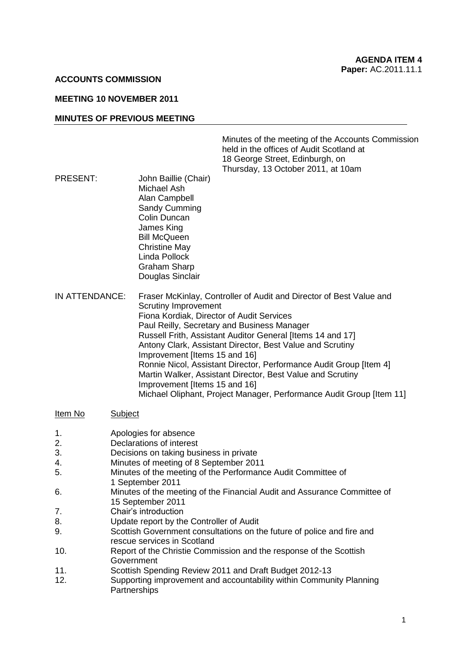### **ACCOUNTS COMMISSION**

### **MEETING 10 NOVEMBER 2011**

#### **MINUTES OF PREVIOUS MEETING**

Minutes of the meeting of the Accounts Commission held in the offices of Audit Scotland at 18 George Street, Edinburgh, on Thursday, 13 October 2011, at 10am

- PRESENT: John Baillie (Chair) Michael Ash Alan Campbell Sandy Cumming Colin Duncan James King Bill McQueen Christine May Linda Pollock Graham Sharp Douglas Sinclair
- IN ATTENDANCE: Fraser McKinlay, Controller of Audit and Director of Best Value and Scrutiny Improvement Fiona Kordiak, Director of Audit Services Paul Reilly, Secretary and Business Manager Russell Frith, Assistant Auditor General [Items 14 and 17] Antony Clark, Assistant Director, Best Value and Scrutiny Improvement [Items 15 and 16] Ronnie Nicol, Assistant Director, Performance Audit Group [Item 4] Martin Walker, Assistant Director, Best Value and Scrutiny Improvement [Items 15 and 16] Michael Oliphant, Project Manager, Performance Audit Group [Item 11]
- Item No Subject
- 1. Apologies for absence
- 2. Declarations of interest
- 3. Decisions on taking business in private
- 4. Minutes of meeting of 8 September 2011
- 5. Minutes of the meeting of the Performance Audit Committee of
- 1 September 2011
- 6. Minutes of the meeting of the Financial Audit and Assurance Committee of 15 September 2011
- 7. Chair's introduction
- 8. Update report by the Controller of Audit
- 9. Scottish Government consultations on the future of police and fire and rescue services in Scotland
- 10. Report of the Christie Commission and the response of the Scottish Government
- 11. Scottish Spending Review 2011 and Draft Budget 2012-13
- 12. Supporting improvement and accountability within Community Planning **Partnerships**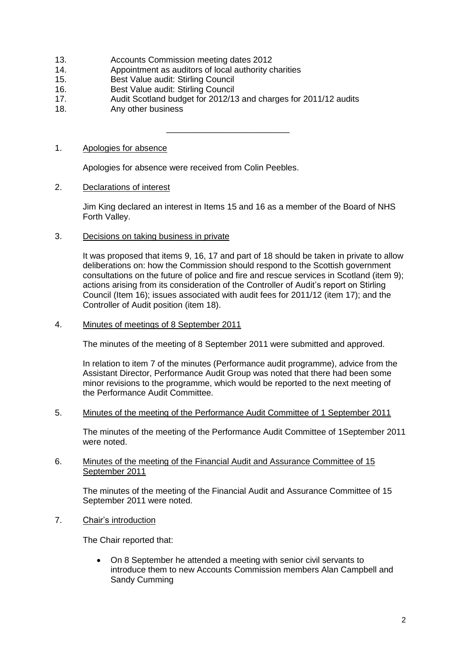- 13. Accounts Commission meeting dates 2012
- 14. Appointment as auditors of local authority charities
- 15. Best Value audit: Stirling Council
- 16. Best Value audit: Stirling Council
- 17. Audit Scotland budget for 2012/13 and charges for 2011/12 audits
- 18. Any other business

\_\_\_\_\_\_\_\_\_\_\_\_\_\_\_\_\_\_\_\_\_\_\_\_\_\_

# 1. Apologies for absence

Apologies for absence were received from Colin Peebles.

# 2. Declarations of interest

Jim King declared an interest in Items 15 and 16 as a member of the Board of NHS Forth Valley.

3. Decisions on taking business in private

It was proposed that items 9, 16, 17 and part of 18 should be taken in private to allow deliberations on: how the Commission should respond to the Scottish government consultations on the future of police and fire and rescue services in Scotland (item 9); actions arising from its consideration of the Controller of Audit's report on Stirling Council (Item 16); issues associated with audit fees for 2011/12 (item 17); and the Controller of Audit position (item 18).

4. Minutes of meetings of 8 September 2011

The minutes of the meeting of 8 September 2011 were submitted and approved.

In relation to item 7 of the minutes (Performance audit programme), advice from the Assistant Director, Performance Audit Group was noted that there had been some minor revisions to the programme, which would be reported to the next meeting of the Performance Audit Committee.

5. Minutes of the meeting of the Performance Audit Committee of 1 September 2011

The minutes of the meeting of the Performance Audit Committee of 1September 2011 were noted.

# 6. Minutes of the meeting of the Financial Audit and Assurance Committee of 15 September 2011

The minutes of the meeting of the Financial Audit and Assurance Committee of 15 September 2011 were noted.

7. Chair's introduction

The Chair reported that:

 On 8 September he attended a meeting with senior civil servants to introduce them to new Accounts Commission members Alan Campbell and Sandy Cumming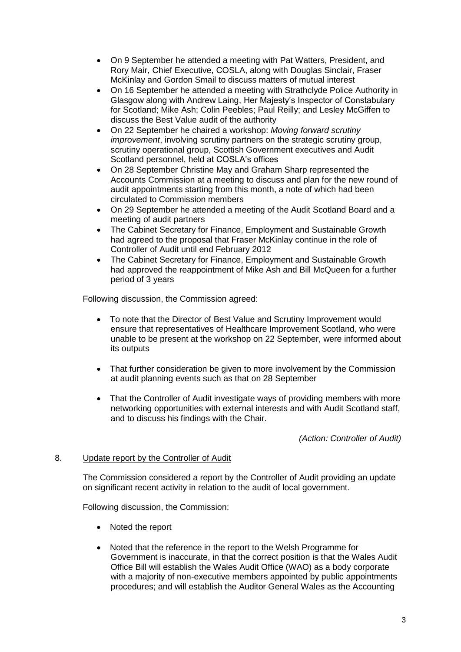- On 9 September he attended a meeting with Pat Watters, President, and Rory Mair, Chief Executive, COSLA, along with Douglas Sinclair, Fraser McKinlay and Gordon Smail to discuss matters of mutual interest
- On 16 September he attended a meeting with Strathclyde Police Authority in Glasgow along with Andrew Laing, Her Majesty's Inspector of Constabulary for Scotland; Mike Ash; Colin Peebles; Paul Reilly; and Lesley McGiffen to discuss the Best Value audit of the authority
- On 22 September he chaired a workshop: *Moving forward scrutiny improvement*, involving scrutiny partners on the strategic scrutiny group, scrutiny operational group, Scottish Government executives and Audit Scotland personnel, held at COSLA's offices
- On 28 September Christine May and Graham Sharp represented the Accounts Commission at a meeting to discuss and plan for the new round of audit appointments starting from this month, a note of which had been circulated to Commission members
- On 29 September he attended a meeting of the Audit Scotland Board and a meeting of audit partners
- The Cabinet Secretary for Finance, Employment and Sustainable Growth had agreed to the proposal that Fraser McKinlay continue in the role of Controller of Audit until end February 2012
- The Cabinet Secretary for Finance, Employment and Sustainable Growth had approved the reappointment of Mike Ash and Bill McQueen for a further period of 3 years

Following discussion, the Commission agreed:

- To note that the Director of Best Value and Scrutiny Improvement would ensure that representatives of Healthcare Improvement Scotland, who were unable to be present at the workshop on 22 September, were informed about its outputs
- That further consideration be given to more involvement by the Commission at audit planning events such as that on 28 September
- That the Controller of Audit investigate ways of providing members with more networking opportunities with external interests and with Audit Scotland staff, and to discuss his findings with the Chair.

*(Action: Controller of Audit)*

# 8. Update report by the Controller of Audit

The Commission considered a report by the Controller of Audit providing an update on significant recent activity in relation to the audit of local government.

Following discussion, the Commission:

- Noted the report
- Noted that the reference in the report to the Welsh Programme for Government is inaccurate, in that the correct position is that the Wales Audit Office Bill will establish the Wales Audit Office (WAO) as a body corporate with a majority of non-executive members appointed by public appointments procedures; and will establish the Auditor General Wales as the Accounting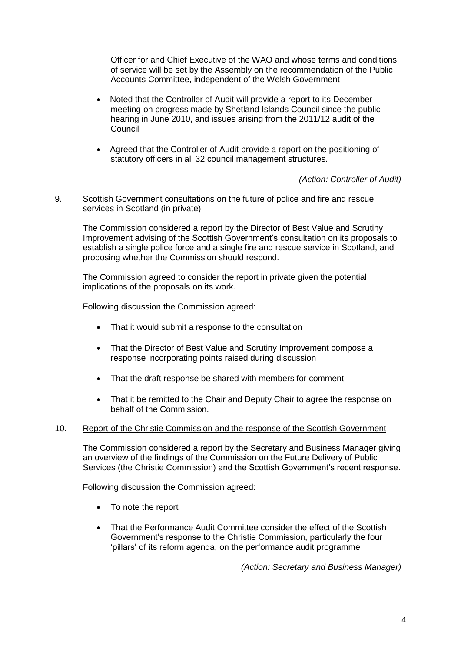Officer for and Chief Executive of the WAO and whose terms and conditions of service will be set by the Assembly on the recommendation of the Public Accounts Committee, independent of the Welsh Government

- Noted that the Controller of Audit will provide a report to its December meeting on progress made by Shetland Islands Council since the public hearing in June 2010, and issues arising from the 2011/12 audit of the Council
- Agreed that the Controller of Audit provide a report on the positioning of statutory officers in all 32 council management structures.

*(Action: Controller of Audit)*

### 9. Scottish Government consultations on the future of police and fire and rescue services in Scotland (in private)

The Commission considered a report by the Director of Best Value and Scrutiny Improvement advising of the Scottish Government's consultation on its proposals to establish a single police force and a single fire and rescue service in Scotland, and proposing whether the Commission should respond.

The Commission agreed to consider the report in private given the potential implications of the proposals on its work.

Following discussion the Commission agreed:

- That it would submit a response to the consultation
- That the Director of Best Value and Scrutiny Improvement compose a response incorporating points raised during discussion
- That the draft response be shared with members for comment
- That it be remitted to the Chair and Deputy Chair to agree the response on behalf of the Commission.

#### 10. Report of the Christie Commission and the response of the Scottish Government

The Commission considered a report by the Secretary and Business Manager giving an overview of the findings of the Commission on the Future Delivery of Public Services (the Christie Commission) and the Scottish Government's recent response.

Following discussion the Commission agreed:

- To note the report
- That the Performance Audit Committee consider the effect of the Scottish Government's response to the Christie Commission, particularly the four 'pillars' of its reform agenda, on the performance audit programme

*(Action: Secretary and Business Manager)*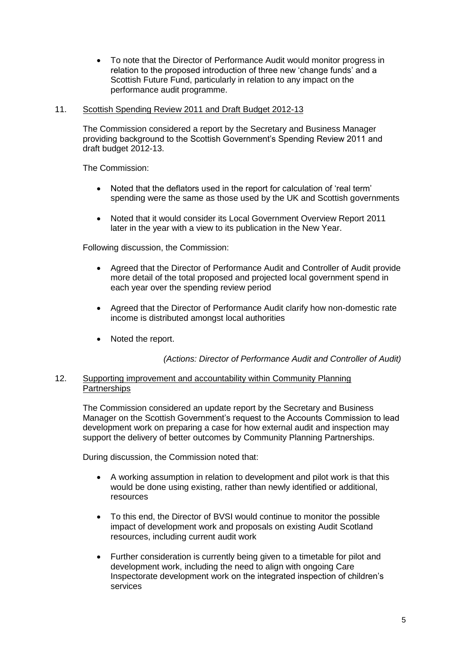To note that the Director of Performance Audit would monitor progress in relation to the proposed introduction of three new 'change funds' and a Scottish Future Fund, particularly in relation to any impact on the performance audit programme.

# 11. Scottish Spending Review 2011 and Draft Budget 2012-13

The Commission considered a report by the Secretary and Business Manager providing background to the Scottish Government's Spending Review 2011 and draft budget 2012-13.

The Commission:

- Noted that the deflators used in the report for calculation of 'real term' spending were the same as those used by the UK and Scottish governments
- Noted that it would consider its Local Government Overview Report 2011 later in the year with a view to its publication in the New Year.

Following discussion, the Commission:

- Agreed that the Director of Performance Audit and Controller of Audit provide more detail of the total proposed and projected local government spend in each year over the spending review period
- Agreed that the Director of Performance Audit clarify how non-domestic rate income is distributed amongst local authorities
- Noted the report.

*(Actions: Director of Performance Audit and Controller of Audit)*

# 12. Supporting improvement and accountability within Community Planning **Partnerships**

The Commission considered an update report by the Secretary and Business Manager on the Scottish Government's request to the Accounts Commission to lead development work on preparing a case for how external audit and inspection may support the delivery of better outcomes by Community Planning Partnerships.

During discussion, the Commission noted that:

- A working assumption in relation to development and pilot work is that this would be done using existing, rather than newly identified or additional, resources
- To this end, the Director of BVSI would continue to monitor the possible impact of development work and proposals on existing Audit Scotland resources, including current audit work
- Further consideration is currently being given to a timetable for pilot and development work, including the need to align with ongoing Care Inspectorate development work on the integrated inspection of children's services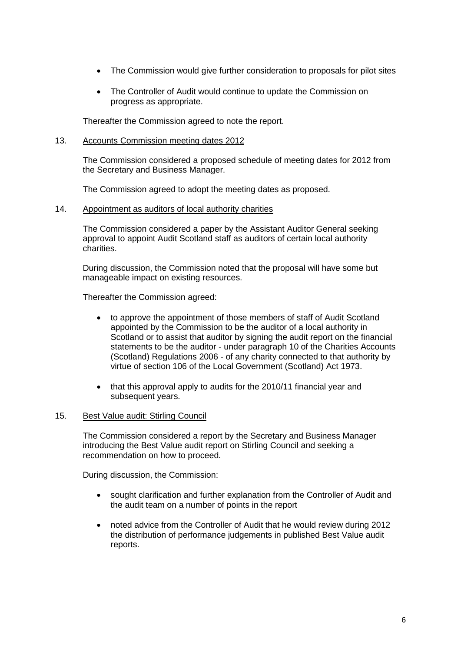- The Commission would give further consideration to proposals for pilot sites
- The Controller of Audit would continue to update the Commission on progress as appropriate.

Thereafter the Commission agreed to note the report.

### 13. Accounts Commission meeting dates 2012

The Commission considered a proposed schedule of meeting dates for 2012 from the Secretary and Business Manager.

The Commission agreed to adopt the meeting dates as proposed.

14. Appointment as auditors of local authority charities

The Commission considered a paper by the Assistant Auditor General seeking approval to appoint Audit Scotland staff as auditors of certain local authority charities.

During discussion, the Commission noted that the proposal will have some but manageable impact on existing resources.

Thereafter the Commission agreed:

- to approve the appointment of those members of staff of Audit Scotland appointed by the Commission to be the auditor of a local authority in Scotland or to assist that auditor by signing the audit report on the financial statements to be the auditor - under paragraph 10 of the Charities Accounts (Scotland) Regulations 2006 - of any charity connected to that authority by virtue of section 106 of the Local Government (Scotland) Act 1973.
- that this approval apply to audits for the 2010/11 financial year and subsequent years.

# 15. Best Value audit: Stirling Council

The Commission considered a report by the Secretary and Business Manager introducing the Best Value audit report on Stirling Council and seeking a recommendation on how to proceed.

During discussion, the Commission:

- sought clarification and further explanation from the Controller of Audit and the audit team on a number of points in the report
- noted advice from the Controller of Audit that he would review during 2012 the distribution of performance judgements in published Best Value audit reports.